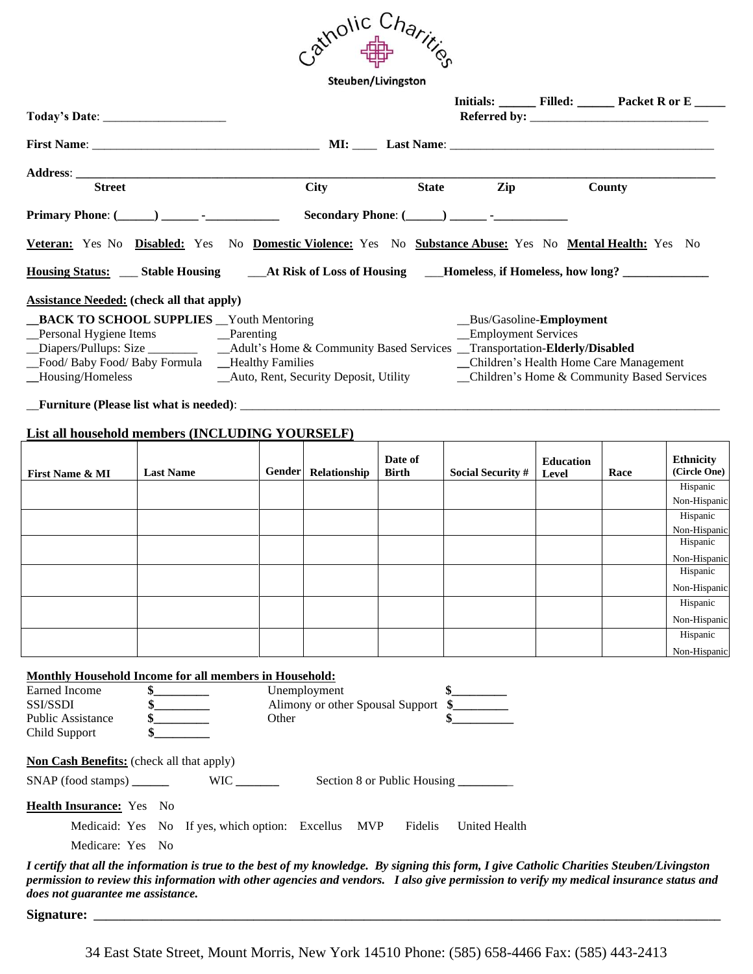

Steuben/Livingston

|                                                                        |                                                                                                                                                                                                                                                   |             |                                                  |                         |                                                                                            |                           |      | Initials: _________ Filled: _________ Packet R or E ______ |  |
|------------------------------------------------------------------------|---------------------------------------------------------------------------------------------------------------------------------------------------------------------------------------------------------------------------------------------------|-------------|--------------------------------------------------|-------------------------|--------------------------------------------------------------------------------------------|---------------------------|------|------------------------------------------------------------|--|
|                                                                        |                                                                                                                                                                                                                                                   |             |                                                  |                         |                                                                                            |                           |      |                                                            |  |
|                                                                        |                                                                                                                                                                                                                                                   |             |                                                  |                         |                                                                                            |                           |      |                                                            |  |
| <b>Street</b>                                                          |                                                                                                                                                                                                                                                   | <b>City</b> |                                                  |                         | <b>State</b><br>Zip                                                                        | County                    |      |                                                            |  |
|                                                                        |                                                                                                                                                                                                                                                   |             |                                                  |                         |                                                                                            |                           |      |                                                            |  |
|                                                                        | Veteran: Yes No Disabled: Yes No Domestic Violence: Yes No Substance Abuse: Yes No Mental Health: Yes No                                                                                                                                          |             |                                                  |                         |                                                                                            |                           |      |                                                            |  |
|                                                                        |                                                                                                                                                                                                                                                   |             |                                                  |                         |                                                                                            |                           |      |                                                            |  |
|                                                                        | <b>Assistance Needed:</b> (check all that apply)                                                                                                                                                                                                  |             |                                                  |                         |                                                                                            |                           |      |                                                            |  |
| _Housing/Homeless                                                      | _BACK TO SCHOOL SUPPLIES __ Youth Mentoring<br>Personal Hygiene Items Parenting<br>Diapers/Pullups: Size __________ __Adult's Home & Community Based Services _Transportation-Elderly/Disabled<br>_Food/Baby Food/Baby Formula __Healthy Families |             |                                                  |                         | _Bus/Gasoline-Employment<br>_Employment Services<br>Children's Health Home Care Management |                           |      |                                                            |  |
|                                                                        | <b>List all household members (INCLUDING YOURSELF)</b>                                                                                                                                                                                            |             |                                                  |                         |                                                                                            |                           |      |                                                            |  |
| First Name & MI                                                        | <b>Last Name</b>                                                                                                                                                                                                                                  |             | Gender Relationship                              | Date of<br><b>Birth</b> | <b>Social Security #</b>                                                                   | <b>Education</b><br>Level | Race | <b>Ethnicity</b><br>(Circle One)                           |  |
|                                                                        |                                                                                                                                                                                                                                                   |             |                                                  |                         |                                                                                            |                           |      | Hispanic<br>Non-Hispanic                                   |  |
|                                                                        |                                                                                                                                                                                                                                                   |             |                                                  |                         |                                                                                            |                           |      | Hispanic                                                   |  |
|                                                                        |                                                                                                                                                                                                                                                   |             |                                                  |                         |                                                                                            |                           |      | Non-Hispanic                                               |  |
|                                                                        |                                                                                                                                                                                                                                                   |             |                                                  |                         |                                                                                            |                           |      | Hispanic<br>Non-Hispanic                                   |  |
|                                                                        |                                                                                                                                                                                                                                                   |             |                                                  |                         |                                                                                            |                           |      | Hispanic                                                   |  |
|                                                                        |                                                                                                                                                                                                                                                   |             |                                                  |                         |                                                                                            |                           |      | Non-Hispanic                                               |  |
|                                                                        |                                                                                                                                                                                                                                                   |             |                                                  |                         |                                                                                            |                           |      | Hispanic                                                   |  |
|                                                                        |                                                                                                                                                                                                                                                   |             |                                                  |                         |                                                                                            |                           |      | Non-Hispanic<br>Hispanic                                   |  |
|                                                                        |                                                                                                                                                                                                                                                   |             |                                                  |                         |                                                                                            |                           |      | Non-Hispanic                                               |  |
| Earned Income<br>SSI/SSDI<br><b>Public Assistance</b><br>Child Support | <b>Monthly Household Income for all members in Household:</b>                                                                                                                                                                                     | Other       | Unemployment<br>Alimony or other Spousal Support |                         |                                                                                            |                           |      |                                                            |  |
| Non Cash Benefits: (check all that apply)                              |                                                                                                                                                                                                                                                   |             |                                                  |                         |                                                                                            |                           |      |                                                            |  |
| $SNAP$ (food stamps) ________                                          | $WIC$ <sub>________</sub>                                                                                                                                                                                                                         |             |                                                  |                         | Section 8 or Public Housing                                                                |                           |      |                                                            |  |
| Health Insurance: Yes No                                               |                                                                                                                                                                                                                                                   |             |                                                  |                         |                                                                                            |                           |      |                                                            |  |
| Medicare: Yes No                                                       | Medicaid: Yes No If yes, which option: Excellus MVP                                                                                                                                                                                               |             |                                                  | Fidelis                 | <b>United Health</b>                                                                       |                           |      |                                                            |  |

*I certify that all the information is true to the best of my knowledge. By signing this form, I give Catholic Charities Steuben/Livingston permission to review this information with other agencies and vendors. I also give permission to verify my medical insurance status and does not guarantee me assistance.* 

**Signature: \_\_\_\_\_\_\_\_\_\_\_\_\_\_\_\_\_\_\_\_\_\_\_\_\_\_\_\_\_\_\_\_\_\_\_\_\_\_\_\_\_\_\_\_\_\_\_\_\_\_\_\_\_\_\_\_\_\_\_\_\_\_\_\_\_\_\_\_\_\_\_\_\_\_\_\_\_\_\_\_\_\_\_\_\_\_\_\_\_\_\_\_\_\_\_\_\_\_\_\_\_\_**